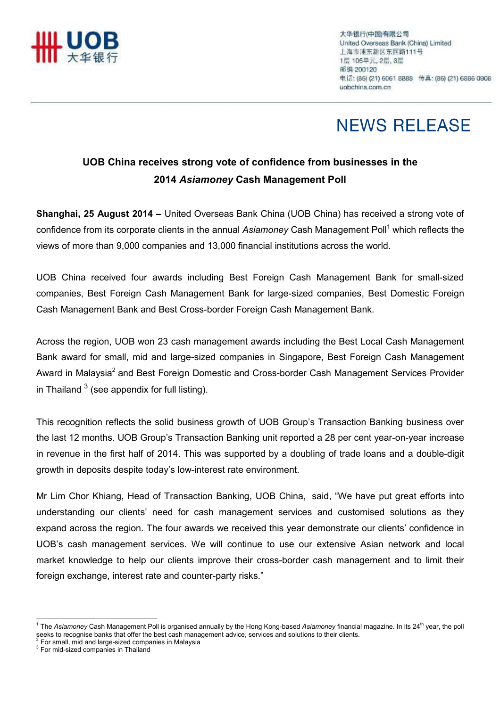

# **NEWS RELEASE**

### UOB China receives strong vote of confidence from businesses in the 2014 Asiamoney Cash Management Poll

Shanghai, 25 August 2014 – United Overseas Bank China (UOB China) has received a strong vote of confidence from its corporate clients in the annual Asiamoney Cash Management Poll<sup>1</sup> which reflects the views of more than 9,000 companies and 13,000 financial institutions across the world.

UOB China received four awards including Best Foreign Cash Management Bank for small-sized companies, Best Foreign Cash Management Bank for large-sized companies, Best Domestic Foreign Cash Management Bank and Best Cross-border Foreign Cash Management Bank.

Across the region, UOB won 23 cash management awards including the Best Local Cash Management Bank award for small, mid and large-sized companies in Singapore, Best Foreign Cash Management Award in Malaysia<sup>2</sup> and Best Foreign Domestic and Cross-border Cash Management Services Provider in Thailand  $^3$  (see appendix for full listing).

This recognition reflects the solid business growth of UOB Group's Transaction Banking business over the last 12 months. UOB Group's Transaction Banking unit reported a 28 per cent year-on-year increase in revenue in the first half of 2014. This was supported by a doubling of trade loans and a double-digit growth in deposits despite today's low-interest rate environment.

Mr Lim Chor Khiang, Head of Transaction Banking, UOB China, said, "We have put great efforts into understanding our clients' need for cash management services and customised solutions as they expand across the region. The four awards we received this year demonstrate our clients' confidence in UOB's cash management services. We will continue to use our extensive Asian network and local market knowledge to help our clients improve their cross-border cash management and to limit their foreign exchange, interest rate and counter-party risks."

 $\overline{a}$ 

<sup>&</sup>lt;sup>1</sup> The Asiamoney Cash Management Poll is organised annually by the Hong Kong-based Asiamoney financial magazine. In its 24<sup>th</sup> year, the poll seeks to recognise banks that offer the best cash management advice, services and solutions to their clients.<br><sup>2</sup> For small, mid and large-sized companies in Malaysia

<sup>&</sup>lt;sup>3</sup> For mid-sized companies in Thailand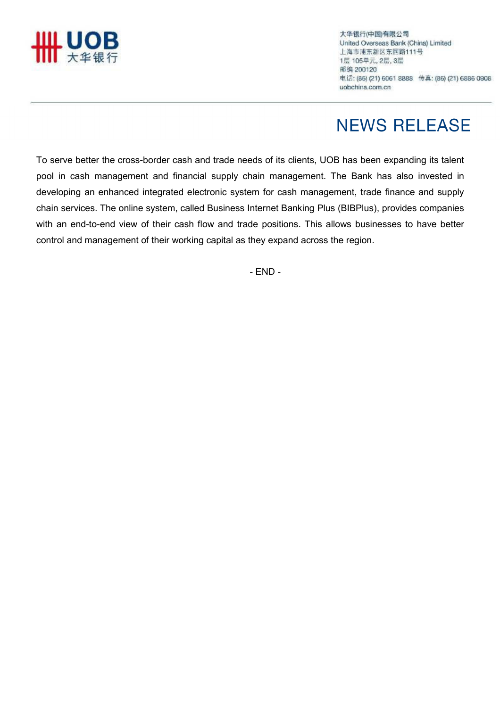

大华银行(中国)有限公司 United Overseas Bank (China) Limited 上海市浦东新区东园路111号 1层 105单元, 2层, 3层 邮编 200120 电话: (86) (21) 6061 8888 传真: (86) (21) 6886 0908 uobchina.com.cn

# **NEWS RELEASE**

To serve better the cross-border cash and trade needs of its clients, UOB has been expanding its talent pool in cash management and financial supply chain management. The Bank has also invested in developing an enhanced integrated electronic system for cash management, trade finance and supply chain services. The online system, called Business Internet Banking Plus (BIBPlus), provides companies with an end-to-end view of their cash flow and trade positions. This allows businesses to have better control and management of their working capital as they expand across the region.

- END -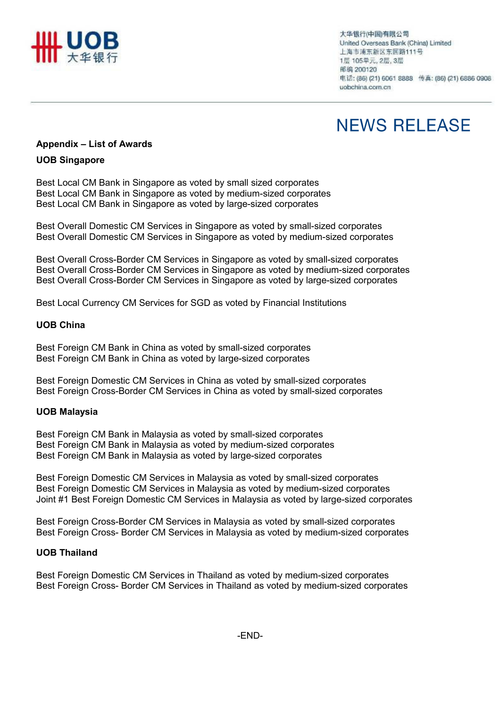

大华银行(中国)有限公司 United Overseas Bank (China) Limited 上海市浦东新区东园路111号 1层 105单元, 2层, 3层 邮编 200120 电话: (86) (21) 6061 8888 传真: (86) (21) 6886 0908 uobchina.com.cn

# **NEWS RELEASE**

### Appendix – List of Awards

### UOB Singapore

Best Local CM Bank in Singapore as voted by small sized corporates Best Local CM Bank in Singapore as voted by medium-sized corporates Best Local CM Bank in Singapore as voted by large-sized corporates

Best Overall Domestic CM Services in Singapore as voted by small-sized corporates Best Overall Domestic CM Services in Singapore as voted by medium-sized corporates

Best Overall Cross-Border CM Services in Singapore as voted by small-sized corporates Best Overall Cross-Border CM Services in Singapore as voted by medium-sized corporates Best Overall Cross-Border CM Services in Singapore as voted by large-sized corporates

Best Local Currency CM Services for SGD as voted by Financial Institutions

#### UOB China

Best Foreign CM Bank in China as voted by small-sized corporates Best Foreign CM Bank in China as voted by large-sized corporates

Best Foreign Domestic CM Services in China as voted by small-sized corporates Best Foreign Cross-Border CM Services in China as voted by small-sized corporates

#### UOB Malaysia

Best Foreign CM Bank in Malaysia as voted by small-sized corporates Best Foreign CM Bank in Malaysia as voted by medium-sized corporates Best Foreign CM Bank in Malaysia as voted by large-sized corporates

Best Foreign Domestic CM Services in Malaysia as voted by small-sized corporates Best Foreign Domestic CM Services in Malaysia as voted by medium-sized corporates Joint #1 Best Foreign Domestic CM Services in Malaysia as voted by large-sized corporates

Best Foreign Cross-Border CM Services in Malaysia as voted by small-sized corporates Best Foreign Cross- Border CM Services in Malaysia as voted by medium-sized corporates

#### UOB Thailand

Best Foreign Domestic CM Services in Thailand as voted by medium-sized corporates Best Foreign Cross- Border CM Services in Thailand as voted by medium-sized corporates